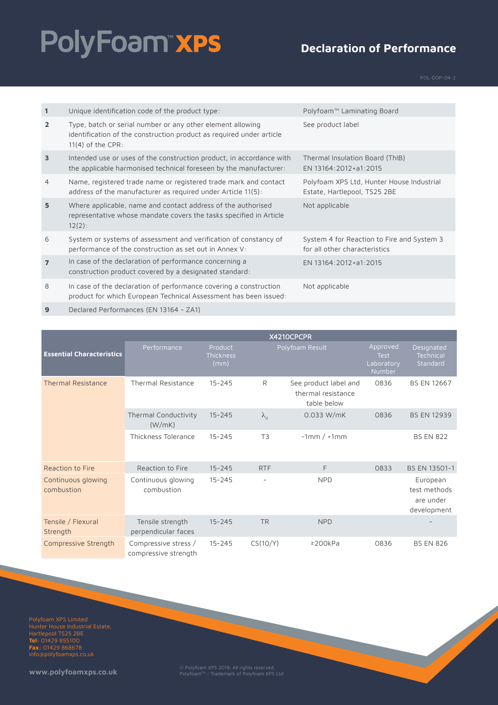# PolyFoam"xPS

#### **Declaration of Performance**

| $\mathbf{1}$   | Unique identification code of the product type:                                                                                                           | Polyfoam™ Laminating Board                                                  |
|----------------|-----------------------------------------------------------------------------------------------------------------------------------------------------------|-----------------------------------------------------------------------------|
| $\overline{2}$ | Type, batch or serial number or any other element allowing<br>identification of the construction product as required under article<br>$11(4)$ of the CPR: | See product label                                                           |
| $\overline{3}$ | Intended use or uses of the construction product, in accordance with<br>the applicable harmonised technical foreseen by the manufacturer:                 | Thermal Insulation Board (ThIB)<br>EN 13164:2012+a1:2015                    |
| $\overline{4}$ | Name, registered trade name or registered trade mark and contact<br>address of the manufacturer as required under Article 11(5):                          | Polyfoam XPS Ltd, Hunter House Industrial<br>Estate, Hartlepool, TS25 2BE   |
| 5              | Where applicable, name and contact address of the authorised<br>representative whose mandate covers the tasks specified in Article<br>$12(2)$ :           | Not applicable                                                              |
| 6              | System or systems of assessment and verification of constancy of<br>performance of the construction as set out in Annex V:                                | System 4 for Reaction to Fire and System 3<br>for all other characteristics |
| $\overline{7}$ | In case of the declaration of performance concerning a<br>construction product covered by a designated standard:                                          | EN 13164:2012+a1:2015                                                       |
| 8              | In case of the declaration of performance covering a construction<br>product for which European Technical Assessment has been issued:                     | Not applicable                                                              |

**9** Declared Performances (EN 13164 - ZA1)

|                                  | X4210CPCPR                                   |                              |                   |                                                            |                                                 |                                                      |
|----------------------------------|----------------------------------------------|------------------------------|-------------------|------------------------------------------------------------|-------------------------------------------------|------------------------------------------------------|
| <b>Essential Characteristics</b> | Performance                                  | Product<br>Thickness<br>(mm) |                   | Polyfoam Result                                            | Approved<br><b>Test</b><br>Laboratory<br>Number | Designated<br>Technical<br>Standard                  |
| <b>Thermal Resistance</b>        | <b>Thermal Resistance</b>                    | $15 - 245$                   | R                 | See product label and<br>thermal resistance<br>table below | 0836                                            | <b>BS EN 12667</b>                                   |
|                                  | Thermal Conductivity<br>(W/mK)               | $15 - 245$                   | $\lambda_{\rm d}$ | 0.033 W/mK                                                 | 0836                                            | <b>BS EN 12939</b>                                   |
|                                  | Thickness Tolerance                          | $15 - 245$                   | T <sub>3</sub>    | $-1mm/+1mm$                                                |                                                 | <b>BS EN 822</b>                                     |
| Reaction to Fire                 | Reaction to Fire                             | $15 - 245$                   | <b>RTF</b>        | F                                                          | 0833                                            | BS EN 13501-1                                        |
| Continuous glowing<br>combustion | Continuous glowing<br>combustion             | $15 - 245$                   |                   | <b>NPD</b>                                                 |                                                 | European<br>test methods<br>are under<br>development |
| Tensile / Flexural<br>Strength   | Tensile strength<br>perpendicular faces      | $15 - 245$                   | <b>TR</b>         | <b>NPD</b>                                                 |                                                 |                                                      |
| Compressive Strength             | Compressive stress /<br>compressive strength | $15 - 245$                   | CS(10/Y)          | $\geq$ 200kPa                                              | 0836                                            | <b>BS EN 826</b>                                     |

Polyfoam XPS Limited Hartlepool TS25 2BE **Tel:** 01429 855100 **Fax:** 01429 868678 info@polyfoamxps.co.uk

**www.polyfoamxps.co.uk** © Polyfoam XPS 2018. All rights reserved. PolyfoamTM - Trademark of Polyfoam XPS Ltd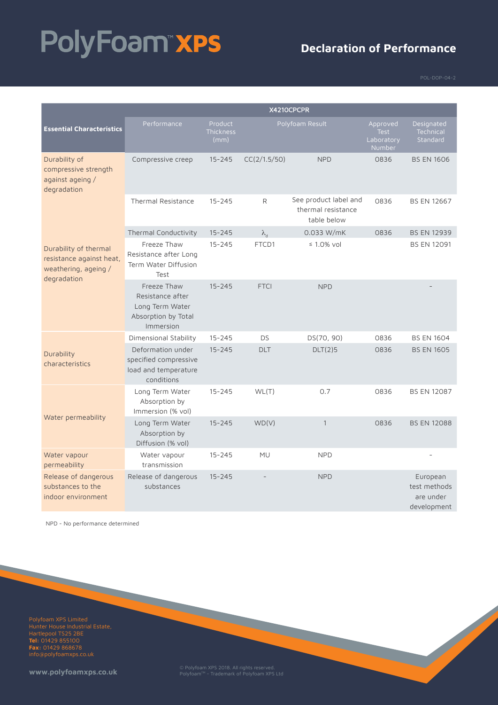# PolyFoam"xPS

#### **Declaration of Performance**

|                                                                                          | X4210CPCPR                                                                             |                              |                   |                                                            |                                          |                                                      |
|------------------------------------------------------------------------------------------|----------------------------------------------------------------------------------------|------------------------------|-------------------|------------------------------------------------------------|------------------------------------------|------------------------------------------------------|
| <b>Essential Characteristics</b>                                                         | Performance                                                                            | Product<br>Thickness<br>(mm) |                   | Polyfoam Result                                            | Approved<br>Test<br>Laboratory<br>Number | Designated<br>Technical<br>Standard                  |
| Durability of<br>compressive strength<br>against ageing /<br>degradation                 | Compressive creep                                                                      | $15 - 245$                   | CC(2/1.5/50)      | <b>NPD</b>                                                 | 0836                                     | <b>BS EN 1606</b>                                    |
|                                                                                          | <b>Thermal Resistance</b>                                                              | $15 - 245$                   | R                 | See product label and<br>thermal resistance<br>table below | 0836                                     | <b>BS EN 12667</b>                                   |
|                                                                                          | Thermal Conductivity                                                                   | $15 - 245$                   | $\lambda_{\rm d}$ | $0.033$ W/mK                                               | 0836                                     | <b>BS EN 12939</b>                                   |
| Durability of thermal<br>resistance against heat,<br>weathering, ageing /<br>degradation | Freeze Thaw<br>Resistance after Long<br>Term Water Diffusion<br>Test                   | $15 - 245$                   | FTCD1             | $\leq 1.0\%$ vol                                           |                                          | <b>BS EN 12091</b>                                   |
|                                                                                          | Freeze Thaw<br>Resistance after<br>Long Term Water<br>Absorption by Total<br>Immersion | $15 - 245$                   | <b>FTCI</b>       | <b>NPD</b>                                                 |                                          |                                                      |
|                                                                                          | Dimensional Stability                                                                  | $15 - 245$                   | <b>DS</b>         | DS(70, 90)                                                 | 0836                                     | <b>BS EN 1604</b>                                    |
| Durability<br>characteristics                                                            | Deformation under<br>specified compressive<br>load and temperature<br>conditions       | $15 - 245$                   | <b>DLT</b>        | DLT(2)5                                                    | 0836                                     | <b>BS EN 1605</b>                                    |
|                                                                                          | Long Term Water<br>Absorption by<br>Immersion (% vol)                                  | $15 - 245$                   | WL(T)             | 0.7                                                        | 0836                                     | <b>BS EN 12087</b>                                   |
| Water permeability                                                                       | Long Term Water<br>Absorption by<br>Diffusion (% vol)                                  | $15 - 245$                   | WD(V)             | $\mathbf{1}$                                               | 0836                                     | <b>BS EN 12088</b>                                   |
| Water vapour<br>permeability                                                             | Water vapour<br>transmission                                                           | $15 - 245$                   | <b>MU</b>         | <b>NPD</b>                                                 |                                          |                                                      |
| Release of dangerous<br>substances to the<br>indoor environment                          | Release of dangerous<br>substances                                                     | $15 - 245$                   |                   | <b>NPD</b>                                                 |                                          | European<br>test methods<br>are under<br>development |

NPD - No performance determined

Polyfoam XPS Limited Hartlepool TS25 2BE **Tel:** 01429 855100 **Fax:** 01429 868678 info@polyfoamxps.co.uk

**www.polyfoamxps.co.uk** © Polyfoam XPS 2018. All rights reserved. PolyfoamTM - Trademark of Polyfoam XPS Ltd